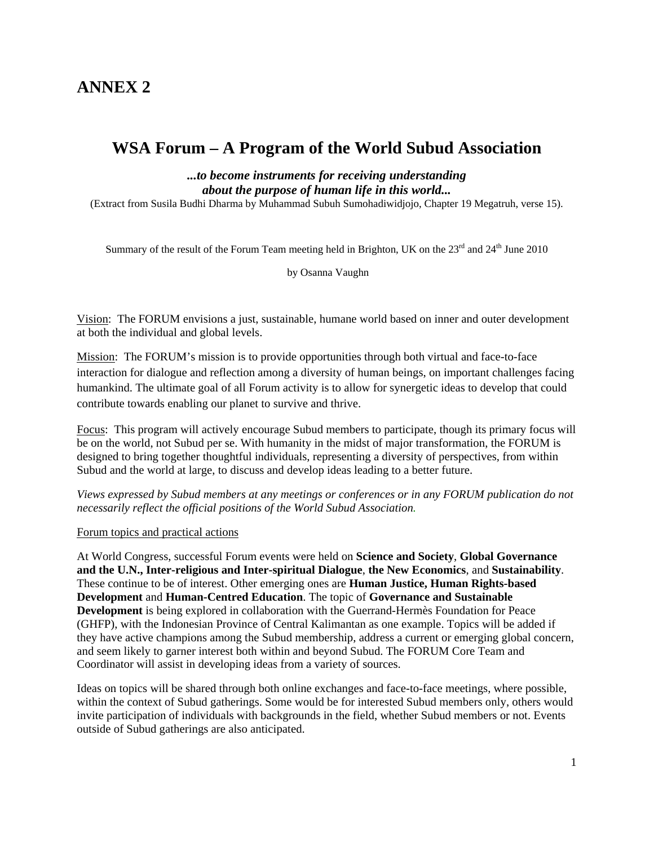# **ANNEX 2**

# **WSA Forum – A Program of the World Subud Association**

*...to become instruments for receiving understanding about the purpose of human life in this world...* 

(Extract from Susila Budhi Dharma by Muhammad Subuh Sumohadiwidjojo, Chapter 19 Megatruh, verse 15).

Summary of the result of the Forum Team meeting held in Brighton, UK on the 23<sup>rd</sup> and 24<sup>th</sup> June 2010

by Osanna Vaughn

Vision: The FORUM envisions a just, sustainable, humane world based on inner and outer development at both the individual and global levels.

Mission: The FORUM's mission is to provide opportunities through both virtual and face-to-face interaction for dialogue and reflection among a diversity of human beings, on important challenges facing humankind. The ultimate goal of all Forum activity is to allow for synergetic ideas to develop that could contribute towards enabling our planet to survive and thrive.

Focus: This program will actively encourage Subud members to participate, though its primary focus will be on the world, not Subud per se. With humanity in the midst of major transformation, the FORUM is designed to bring together thoughtful individuals, representing a diversity of perspectives, from within Subud and the world at large, to discuss and develop ideas leading to a better future.

*Views expressed by Subud members at any meetings or conferences or in any FORUM publication do not necessarily reflect the official positions of the World Subud Association.*

#### Forum topics and practical actions

At World Congress, successful Forum events were held on **Science and Society**, **Global Governance and the U.N., Inter-religious and Inter-spiritual Dialogue**, **the New Economics**, and **Sustainability**. These continue to be of interest. Other emerging ones are **Human Justice, Human Rights-based Development** and **Human-Centred Education**. The topic of **Governance and Sustainable Development** is being explored in collaboration with the Guerrand-Hermès Foundation for Peace (GHFP), with the Indonesian Province of Central Kalimantan as one example. Topics will be added if they have active champions among the Subud membership, address a current or emerging global concern, and seem likely to garner interest both within and beyond Subud. The FORUM Core Team and Coordinator will assist in developing ideas from a variety of sources.

Ideas on topics will be shared through both online exchanges and face-to-face meetings, where possible, within the context of Subud gatherings. Some would be for interested Subud members only, others would invite participation of individuals with backgrounds in the field, whether Subud members or not. Events outside of Subud gatherings are also anticipated.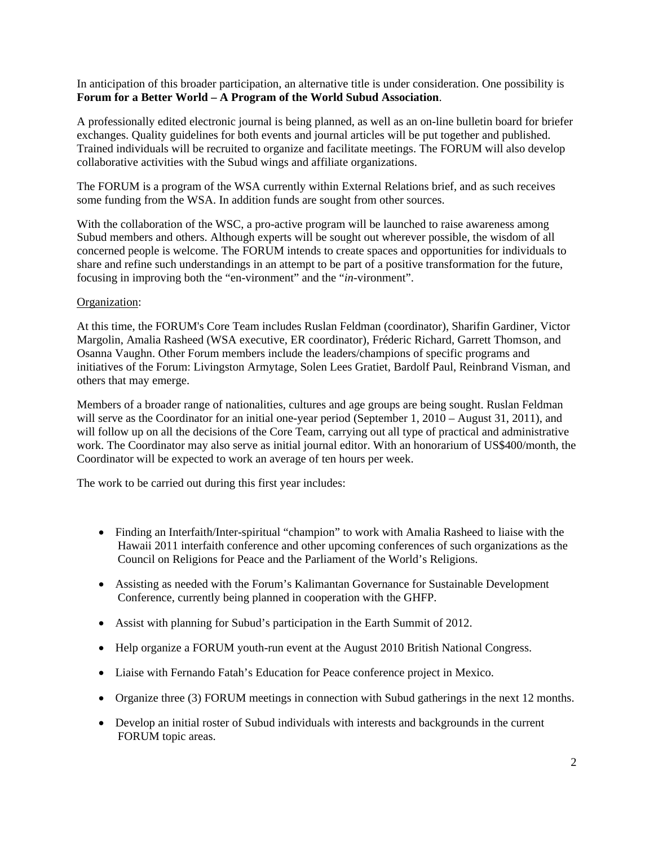## In anticipation of this broader participation, an alternative title is under consideration. One possibility is **Forum for a Better World – A Program of the World Subud Association**.

A professionally edited electronic journal is being planned, as well as an on-line bulletin board for briefer exchanges. Quality guidelines for both events and journal articles will be put together and published. Trained individuals will be recruited to organize and facilitate meetings. The FORUM will also develop collaborative activities with the Subud wings and affiliate organizations.

The FORUM is a program of the WSA currently within External Relations brief, and as such receives some funding from the WSA. In addition funds are sought from other sources.

With the collaboration of the WSC, a pro-active program will be launched to raise awareness among Subud members and others. Although experts will be sought out wherever possible, the wisdom of all concerned people is welcome. The FORUM intends to create spaces and opportunities for individuals to share and refine such understandings in an attempt to be part of a positive transformation for the future, focusing in improving both the "en-vironment" and the "*in-*vironment".

### Organization:

At this time, the FORUM's Core Team includes Ruslan Feldman (coordinator), Sharifin Gardiner, Victor Margolin, Amalia Rasheed (WSA executive, ER coordinator), Fréderic Richard, Garrett Thomson, and Osanna Vaughn. Other Forum members include the leaders/champions of specific programs and initiatives of the Forum: Livingston Armytage, Solen Lees Gratiet, Bardolf Paul, Reinbrand Visman, and others that may emerge.

Members of a broader range of nationalities, cultures and age groups are being sought. Ruslan Feldman will serve as the Coordinator for an initial one-year period (September 1, 2010 – August 31, 2011), and will follow up on all the decisions of the Core Team, carrying out all type of practical and administrative work. The Coordinator may also serve as initial journal editor. With an honorarium of US\$400/month, the Coordinator will be expected to work an average of ten hours per week.

The work to be carried out during this first year includes:

- Finding an Interfaith/Inter-spiritual "champion" to work with Amalia Rasheed to liaise with the Hawaii 2011 interfaith conference and other upcoming conferences of such organizations as the Council on Religions for Peace and the Parliament of the World's Religions.
- Assisting as needed with the Forum's Kalimantan Governance for Sustainable Development Conference, currently being planned in cooperation with the GHFP.
- Assist with planning for Subud's participation in the Earth Summit of 2012.
- Help organize a FORUM youth-run event at the August 2010 British National Congress.
- Liaise with Fernando Fatah's Education for Peace conference project in Mexico.
- Organize three (3) FORUM meetings in connection with Subud gatherings in the next 12 months.
- Develop an initial roster of Subud individuals with interests and backgrounds in the current FORUM topic areas.